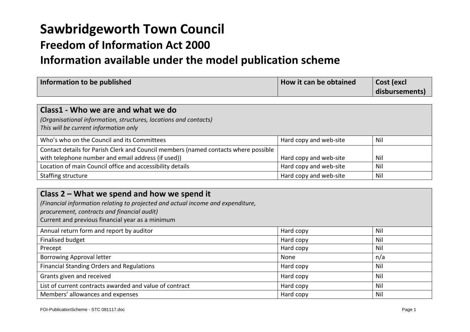# **Sawbridgeworth Town Council**

## **Freedom of Information Act 2000**

## **Information available under the model publication scheme**

| Information to be published | How it can be obtained | Cost (excl     |
|-----------------------------|------------------------|----------------|
|                             |                        | disbursements) |

| Class1 - Who we are and what we do<br>(Organisational information, structures, locations and contacts)<br>This will be current information only |                        |            |
|-------------------------------------------------------------------------------------------------------------------------------------------------|------------------------|------------|
| Who's who on the Council and its Committees                                                                                                     | Hard copy and web-site | <b>Nil</b> |
| Contact details for Parish Clerk and Council members (named contacts where possible                                                             |                        |            |
| with telephone number and email address (if used))                                                                                              | Hard copy and web-site | <b>Nil</b> |
| Location of main Council office and accessibility details                                                                                       | Hard copy and web-site | <b>Nil</b> |
| Staffing structure                                                                                                                              | Hard copy and web-site | <b>Nil</b> |

| Class 2 – What we spend and how we spend it<br>(Financial information relating to projected and actual income and expenditure,<br>procurement, contracts and financial audit)<br>Current and previous financial year as a minimum |           |     |
|-----------------------------------------------------------------------------------------------------------------------------------------------------------------------------------------------------------------------------------|-----------|-----|
| Annual return form and report by auditor                                                                                                                                                                                          | Hard copy | Nil |
| <b>Finalised budget</b>                                                                                                                                                                                                           | Hard copy | Nil |
| Precept                                                                                                                                                                                                                           | Hard copy | Nil |
| Borrowing Approval letter                                                                                                                                                                                                         | None      | n/a |
| Financial Standing Orders and Regulations                                                                                                                                                                                         | Hard copy | Nil |
| Grants given and received                                                                                                                                                                                                         | Hard copy | Nil |
| List of current contracts awarded and value of contract                                                                                                                                                                           | Hard copy | Nil |
| Members' allowances and expenses                                                                                                                                                                                                  | Hard copy | Nil |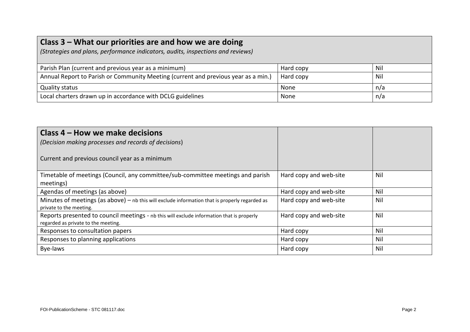## **Class 3 – What our priorities are and how we are doing**

*(Strategies and plans, performance indicators, audits, inspections and reviews)*

| Parish Plan (current and previous year as a minimum)                               | Hard copy | -Nil |
|------------------------------------------------------------------------------------|-----------|------|
| Annual Report to Parish or Community Meeting (current and previous year as a min.) | Hard copy | Nil  |
| Quality status                                                                     | None      | n/a  |
| Local charters drawn up in accordance with DCLG guidelines                         | None      | n/a  |

| Class 4 – How we make decisions<br>(Decision making processes and records of decisions)<br>Current and previous council year as a minimum |                        |     |
|-------------------------------------------------------------------------------------------------------------------------------------------|------------------------|-----|
| Timetable of meetings (Council, any committee/sub-committee meetings and parish                                                           | Hard copy and web-site | Nil |
| meetings)<br>Agendas of meetings (as above)                                                                                               | Hard copy and web-site | Nil |
| Minutes of meetings (as above) $-$ nb this will exclude information that is properly regarded as<br>private to the meeting.               | Hard copy and web-site | Nil |
| Reports presented to council meetings - nb this will exclude information that is properly<br>regarded as private to the meeting.          | Hard copy and web-site | Nil |
| Responses to consultation papers                                                                                                          | Hard copy              | Nil |
| Responses to planning applications                                                                                                        | Hard copy              | Nil |
| Bye-laws                                                                                                                                  | Hard copy              | Nil |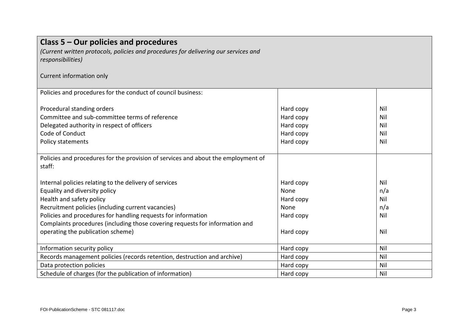| Class 5 – Our policies and procedures<br>(Current written protocols, policies and procedures for delivering our services and<br>responsibilities) |           |     |
|---------------------------------------------------------------------------------------------------------------------------------------------------|-----------|-----|
| Current information only                                                                                                                          |           |     |
| Policies and procedures for the conduct of council business:                                                                                      |           |     |
| Procedural standing orders                                                                                                                        | Hard copy | Nil |
| Committee and sub-committee terms of reference                                                                                                    | Hard copy | Nil |
| Delegated authority in respect of officers                                                                                                        | Hard copy | Nil |
| Code of Conduct                                                                                                                                   | Hard copy | Nil |
| Policy statements                                                                                                                                 | Hard copy | Nil |
|                                                                                                                                                   |           |     |
| Policies and procedures for the provision of services and about the employment of                                                                 |           |     |
| staff:                                                                                                                                            |           |     |
|                                                                                                                                                   |           |     |
| Internal policies relating to the delivery of services                                                                                            | Hard copy | Nil |
| Equality and diversity policy                                                                                                                     | None      | n/a |
| Health and safety policy                                                                                                                          | Hard copy | Nil |
| Recruitment policies (including current vacancies)                                                                                                | None      | n/a |
| Policies and procedures for handling requests for information                                                                                     | Hard copy | Nil |
| Complaints procedures (including those covering requests for information and                                                                      |           |     |
| operating the publication scheme)                                                                                                                 | Hard copy | Nil |
| Information security policy                                                                                                                       | Hard copy | Nil |
| Records management policies (records retention, destruction and archive)                                                                          | Hard copy | Nil |
| Data protection policies                                                                                                                          | Hard copy | Nil |
|                                                                                                                                                   |           |     |
| Schedule of charges (for the publication of information)                                                                                          | Hard copy | Nil |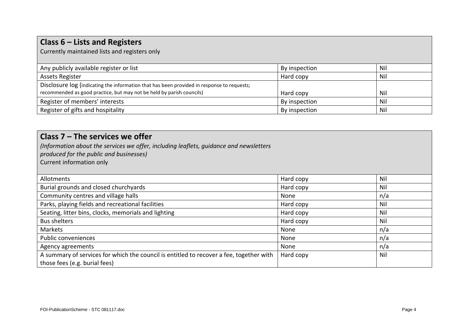| Class $6$ – Lists and Registers<br>Currently maintained lists and registers only           |               |     |
|--------------------------------------------------------------------------------------------|---------------|-----|
| Any publicly available register or list                                                    | By inspection | Nil |
| <b>Assets Register</b>                                                                     | Hard copy     | Nil |
| Disclosure log (indicating the information that has been provided in response to requests; |               |     |
| recommended as good practice, but may not be held by parish councils)                      | Hard copy     | Nil |
| Register of members' interests                                                             | By inspection | Nil |
| Register of gifts and hospitality                                                          | By inspection | Nil |

| Class $7$ – The services we offer<br>(Information about the services we offer, including leaflets, guidance and newsletters<br>produced for the public and businesses)<br>Current information only |           |     |
|----------------------------------------------------------------------------------------------------------------------------------------------------------------------------------------------------|-----------|-----|
| Allotments                                                                                                                                                                                         | Hard copy | Nil |
| Burial grounds and closed churchyards                                                                                                                                                              | Hard copy | Nil |
| Community centres and village halls                                                                                                                                                                | None      | n/a |
| Parks, playing fields and recreational facilities                                                                                                                                                  | Hard copy | Nil |
| Seating, litter bins, clocks, memorials and lighting                                                                                                                                               | Hard copy | Nil |
| <b>Bus shelters</b>                                                                                                                                                                                | Hard copy | Nil |
| Markets                                                                                                                                                                                            | None      | n/a |
| Public conveniences                                                                                                                                                                                | None      | n/a |
| Agency agreements                                                                                                                                                                                  | None      | n/a |
| A summary of services for which the council is entitled to recover a fee, together with<br>those fees (e.g. burial fees)                                                                           | Hard copy | Nil |